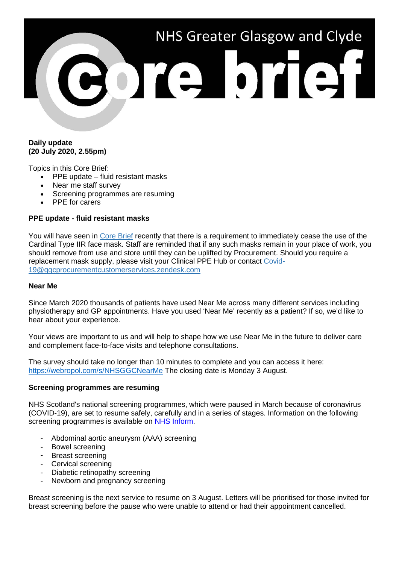# NHS Greater Glasgow and Clyde POTO OTOT

## **Daily update (20 July 2020, 2.55pm)**

Topics in this Core Brief:

- PPE update fluid resistant masks
- Near me staff survey
- Screening programmes are resuming
- PPE for carers

# **PPE update - fluid resistant masks**

You will have seen in [Core Brief](https://www.nhsggc.org.uk/media/261558/153-core-brief-3-july-2020-daily-update-405pm.pdf) recently that there is a requirement to immediately cease the use of the Cardinal Type IIR face mask. Staff are reminded that if any such masks remain in your place of work, you should remove from use and store until they can be uplifted by Procurement. Should you require a replacement mask supply, please visit your Clinical PPE Hub or contact [Covid-](mailto:Covid-19@ggcprocurementcustomerservices.zendesk.com)[19@ggcprocurementcustomerservices.zendesk.com](mailto:Covid-19@ggcprocurementcustomerservices.zendesk.com)

### **Near Me**

Since March 2020 thousands of patients have used Near Me across many different services including physiotherapy and GP appointments. Have you used 'Near Me' recently as a patient? If so, we'd like to hear about your experience.

Your views are important to us and will help to shape how we use Near Me in the future to deliver care and complement face-to-face visits and telephone consultations.

The survey should take no longer than 10 minutes to complete and you can access it here: <https://webropol.com/s/NHSGGCNearMe> The closing date is Monday 3 August.

### **Screening programmes are resuming**

NHS Scotland's national screening programmes, which were paused in March because of coronavirus (COVID-19), are set to resume safely, carefully and in a series of stages. Information on the following screening programmes is available on [NHS Inform.](https://www.nhsinform.scot/illnesses-and-conditions/infections-and-poisoning/coronavirus-covid-19/healthy-living/coronavirus-covid-19-immunisation-and-screening)

- Abdominal aortic aneurysm (AAA) screening
- Bowel screening
- Breast screening
- Cervical screening
- Diabetic retinopathy screening
- Newborn and pregnancy screening

Breast screening is the next service to resume on 3 August. Letters will be prioritised for those invited for breast screening before the pause who were unable to attend or had their appointment cancelled.